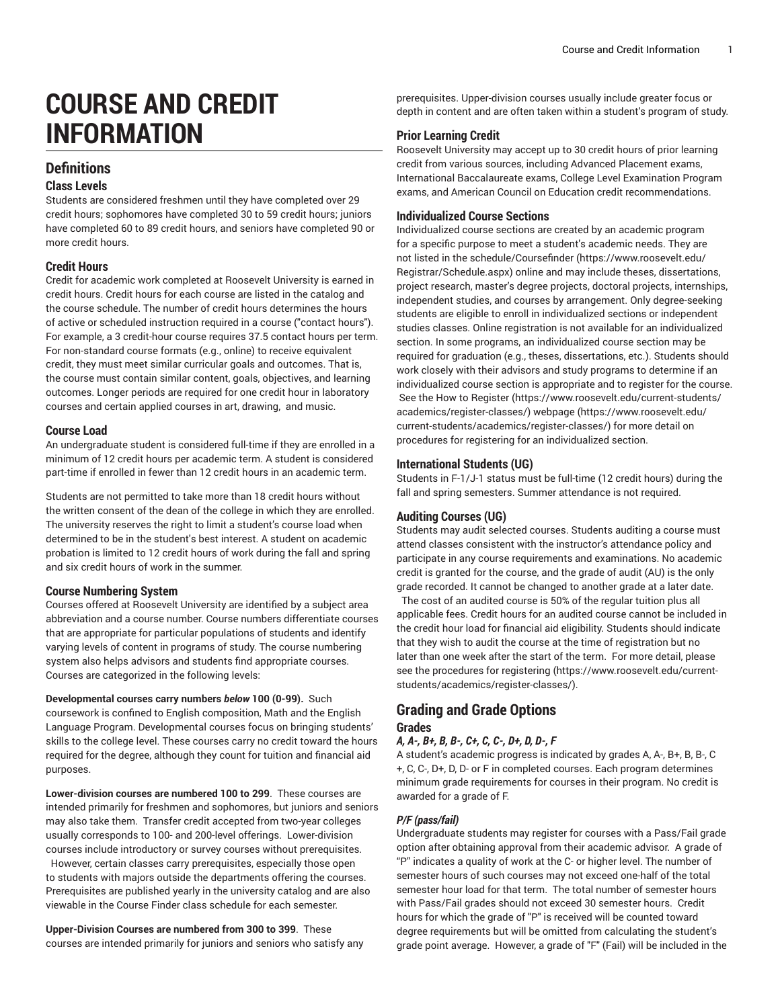# **COURSE AND CREDIT INFORMATION**

# **Definitions**

## **Class Levels**

Students are considered freshmen until they have completed over 29 credit hours; sophomores have completed 30 to 59 credit hours; juniors have completed 60 to 89 credit hours, and seniors have completed 90 or more credit hours.

## **Credit Hours**

Credit for academic work completed at Roosevelt University is earned in credit hours. Credit hours for each course are listed in the catalog and the course schedule. The number of credit hours determines the hours of active or scheduled instruction required in a course ("contact hours"). For example, a 3 credit-hour course requires 37.5 contact hours per term. For non-standard course formats (e.g., online) to receive equivalent credit, they must meet similar curricular goals and outcomes. That is, the course must contain similar content, goals, objectives, and learning outcomes. Longer periods are required for one credit hour in laboratory courses and certain applied courses in art, drawing, and music.

## **Course Load**

An undergraduate student is considered full-time if they are enrolled in a minimum of 12 credit hours per academic term. A student is considered part-time if enrolled in fewer than 12 credit hours in an academic term.

Students are not permitted to take more than 18 credit hours without the written consent of the dean of the college in which they are enrolled. The university reserves the right to limit a student's course load when determined to be in the student's best interest. A student on academic probation is limited to 12 credit hours of work during the fall and spring and six credit hours of work in the summer.

# **Course Numbering System**

Courses offered at Roosevelt University are identified by a subject area abbreviation and a course number. Course numbers differentiate courses that are appropriate for particular populations of students and identify varying levels of content in programs of study. The course numbering system also helps advisors and students find appropriate courses. Courses are categorized in the following levels:

**Developmental courses carry numbers** *below* **100 (0-99).** Such coursework is confined to English composition, Math and the English Language Program. Developmental courses focus on bringing students' skills to the college level. These courses carry no credit toward the hours required for the degree, although they count for tuition and financial aid purposes.

**Lower-division courses are numbered 100 to 299**. These courses are intended primarily for freshmen and sophomores, but juniors and seniors may also take them. Transfer credit accepted from two-year colleges usually corresponds to 100- and 200-level offerings. Lower-division courses include introductory or survey courses without prerequisites. However, certain classes carry prerequisites, especially those open to students with majors outside the departments offering the courses. Prerequisites are published yearly in the university catalog and are also viewable in the Course Finder class schedule for each semester.

**Upper-Division Courses are numbered from 300 to 399**. These courses are intended primarily for juniors and seniors who satisfy any prerequisites. Upper-division courses usually include greater focus or depth in content and are often taken within a student's program of study.

# **Prior Learning Credit**

Roosevelt University may accept up to 30 credit hours of prior learning credit from various sources, including Advanced Placement exams, International Baccalaureate exams, College Level Examination Program exams, and American Council on Education credit recommendations.

## **Individualized Course Sections**

Individualized course sections are created by an academic program for a specific purpose to meet a student's academic needs. They are not listed in the [schedule/Coursefinder \(https://www.roosevelt.edu/](https://www.roosevelt.edu/Registrar/Schedule.aspx) [Registrar/Schedule.aspx](https://www.roosevelt.edu/Registrar/Schedule.aspx)) online and may include theses, dissertations, project research, master's degree projects, doctoral projects, internships, independent studies, and courses by arrangement. Only degree-seeking students are eligible to enroll in individualized sections or independent studies classes. Online registration is not available for an individualized section. In some programs, an individualized course section may be required for graduation (e.g., theses, dissertations, etc.). Students should work closely with their advisors and study programs to determine if an individualized course section is appropriate and to register for the course. See the [How to Register \(https://www.roosevelt.edu/current-students/](https://www.roosevelt.edu/current-students/academics/register-classes/) [academics/register-classes/](https://www.roosevelt.edu/current-students/academics/register-classes/)) [webpage](https://www.roosevelt.edu/current-students/academics/register-classes/) ([https://www.roosevelt.edu/](https://www.roosevelt.edu/current-students/academics/register-classes/) [current-students/academics/register-classes/](https://www.roosevelt.edu/current-students/academics/register-classes/)) for more detail on procedures for registering for an individualized section.

## **International Students (UG)**

Students in F-1/J-1 status must be full-time (12 credit hours) during the fall and spring semesters. Summer attendance is not required.

# **Auditing Courses (UG)**

Students may audit selected courses. Students auditing a course must attend classes consistent with the instructor's attendance policy and participate in any course requirements and examinations. No academic credit is granted for the course, and the grade of audit (AU) is the only grade recorded. It cannot be changed to another grade at a later date.

The cost of an audited course is 50% of the regular tuition plus all applicable fees. Credit hours for an audited course cannot be included in the credit hour load for financial aid eligibility. Students should indicate that they wish to audit the course at the time of registration but no later than one week after the start of the term. For more detail, please see the [procedures](https://www.roosevelt.edu/current-students/academics/register-classes/) for registering ([https://www.roosevelt.edu/current](https://www.roosevelt.edu/current-students/academics/register-classes/)[students/academics/register-classes/](https://www.roosevelt.edu/current-students/academics/register-classes/)).

# **Grading and Grade Options Grades**

# *A, A-, B+, B, B-, C+, C, C-, D+, D, D-, F*

A student's academic progress is indicated by grades A, A-, B+, B, B-, C +, C, C-, D+, D, D- or F in completed courses. Each program determines minimum grade requirements for courses in their program. No credit is awarded for a grade of F.

# *P/F (pass/fail)*

Undergraduate students may register for courses with a Pass/Fail grade option after obtaining approval from their academic advisor. A grade of "P" indicates a quality of work at the C- or higher level. The number of semester hours of such courses may not exceed one-half of the total semester hour load for that term. The total number of semester hours with Pass/Fail grades should not exceed 30 semester hours. Credit hours for which the grade of "P" is received will be counted toward degree requirements but will be omitted from calculating the student's grade point average. However, a grade of "F" (Fail) will be included in the